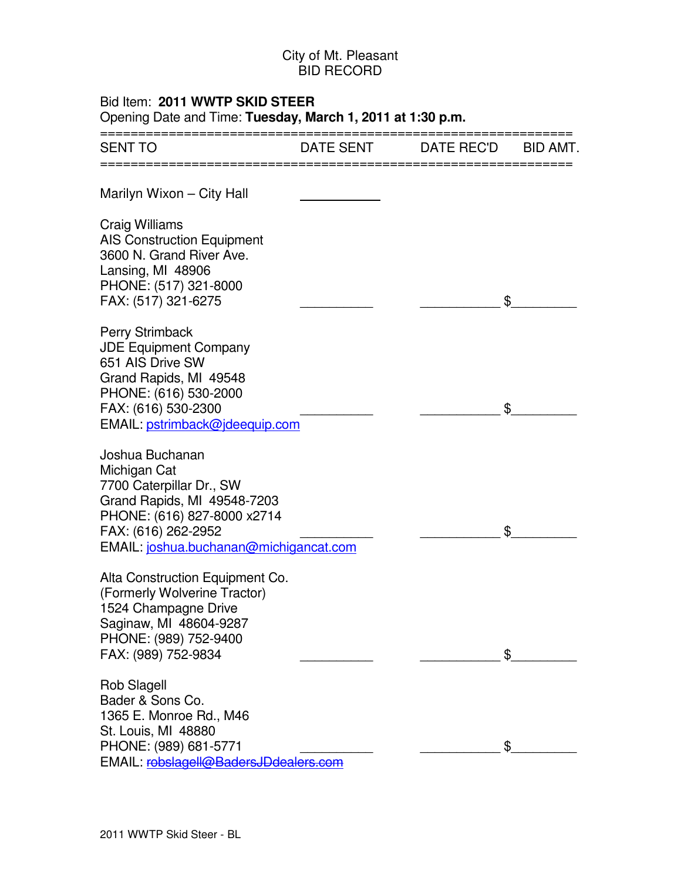## City of Mt. Pleasant BID RECORD

## Bid Item: **2011 WWTP SKID STEER**

Opening Date and Time: **Tuesday, March 1, 2011 at 1:30 p.m.**

| <b>SENT TO</b>                                                                                                                                                                             | DATE SENT | DATE REC'D | BID AMT. |
|--------------------------------------------------------------------------------------------------------------------------------------------------------------------------------------------|-----------|------------|----------|
| Marilyn Wixon - City Hall                                                                                                                                                                  |           |            |          |
| Craig Williams<br><b>AIS Construction Equipment</b><br>3600 N. Grand River Ave.<br>Lansing, MI 48906<br>PHONE: (517) 321-8000<br>FAX: (517) 321-6275                                       |           | \$         |          |
| <b>Perry Strimback</b><br><b>JDE Equipment Company</b><br>651 AIS Drive SW<br>Grand Rapids, MI 49548<br>PHONE: (616) 530-2000<br>FAX: (616) 530-2300<br>EMAIL: pstrimback@jdeequip.com     |           | \$         |          |
| Joshua Buchanan<br>Michigan Cat<br>7700 Caterpillar Dr., SW<br>Grand Rapids, MI 49548-7203<br>PHONE: (616) 827-8000 x2714<br>FAX: (616) 262-2952<br>EMAIL: joshua.buchanan@michigancat.com |           | \$         |          |
| Alta Construction Equipment Co.<br>(Formerly Wolverine Tractor)<br>1524 Champagne Drive<br>Saginaw, MI 48604-9287<br>PHONE: (989) 752-9400<br>FAX: (989) 752-9834                          |           |            |          |
| <b>Rob Slagell</b><br>Bader & Sons Co.<br>1365 E. Monroe Rd., M46<br>St. Louis, MI 48880<br>PHONE: (989) 681-5771<br>EMAIL: robslagell@BadersJDdealers.com                                 |           | \$         |          |